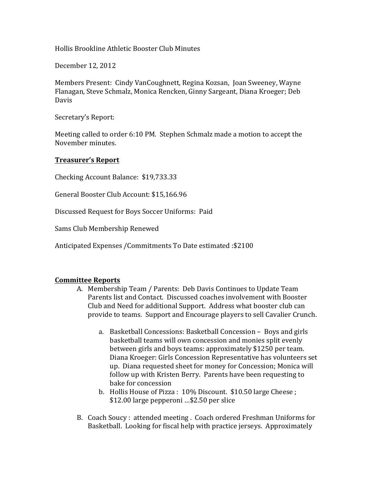Hollis Brookline Athletic Booster Club Minutes

December 12, 2012

Members Present: Cindy VanCoughnett, Regina Kozsan, Joan Sweeney, Wayne Flanagan, Steve Schmalz, Monica Rencken, Ginny Sargeant, Diana Kroeger; Deb Davis

Secretary's Report:

Meeting called to order 6:10 PM. Stephen Schmalz made a motion to accept the November minutes.

## **Treasurer's Report**

Checking Account Balance: \$19,733.33

General Booster Club Account: \$15,166.96

Discussed Request for Boys Soccer Uniforms: Paid

Sams Club Membership Renewed

Anticipated Expenses /Commitments To Date estimated: \$2100

## **Committee Reports**

- A. Membership Team / Parents: Deb Davis Continues to Update Team Parents list and Contact. Discussed coaches involvement with Booster Club and Need for additional Support. Address what booster club can provide to teams. Support and Encourage players to sell Cavalier Crunch.
	- a. Basketball Concessions: Basketball Concession Boys and girls basketball teams will own concession and monies split evenly between girls and boys teams: approximately \$1250 per team. Diana Kroeger: Girls Concession Representative has volunteers set up. Diana requested sheet for money for Concession; Monica will follow up with Kristen Berry. Parents have been requesting to bake for concession
	- b. Hollis House of Pizza:  $10\%$  Discount. \$10.50 large Cheese; \$12.00 large pepperoni ... \$2.50 per slice
- B. Coach Soucy: attended meeting. Coach ordered Freshman Uniforms for Basketball. Looking for fiscal help with practice jerseys. Approximately